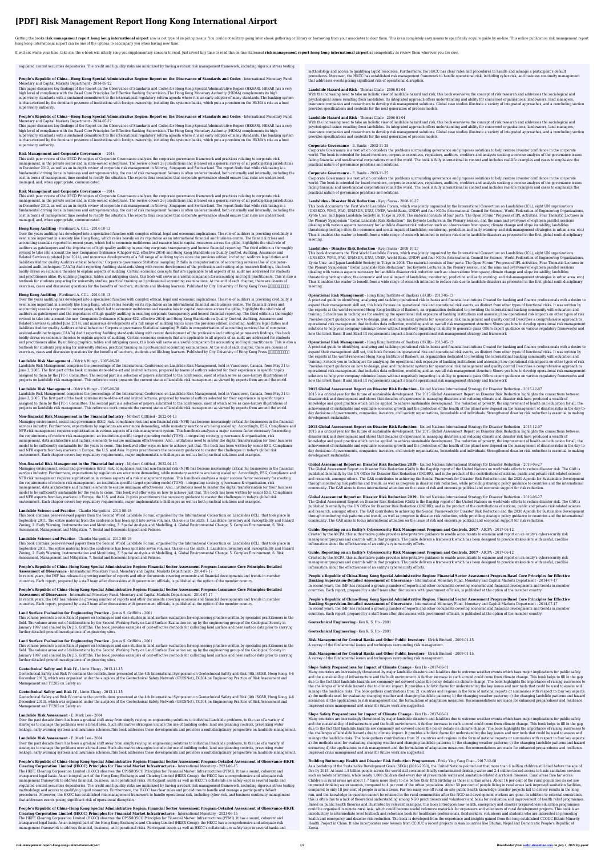# **[PDF] Risk Management Report Hong Kong International Airport**

Getting the books risk management report hong kong international airport now is not type of inspiring means. You could not solitary going later ebook gathering or library or borrowing from your associates to door them. Thi hong kong international airport can be one of the options to accompany you when having new time.

It will not waste your time. take me, the e-book will utterly song you supplementary concern to read. Just invest tiny time to read this on-line statement risk management report hong kong international airport as competent

## **People's Republic of China––Hong Kong Special Administrative Region: Report on the Observance of Standards and Codes** - International Monetary Fund. Monetary and Capital Markets Department - 2014-05-22

This paper discusses key findings of the Report on the Observance of Standards and Codes for Hong Kong Special Administrative Region (HKSAR). HKSAR has a very high level of compliance with the Basel Core Principles for Effective Banking Supervision. The Hong Kong Monetary Authority (HKMA) complements its high supervisory standards with a sustained commitment to the international regulatory reform agenda where it is an early adopter of many standards. The banking system is characterized by the dominant presence of institutions with foreign ownership, including the systemic banks, which puts a premium on the HKMA's role as a host supervisory authority.

## **People's Republic of China––Hong Kong Special Administrative Region: Report on the Observance of Standards and Codes** - International Monetary Fund. Monetary and Capital Markets Department - 2014-05-22

This paper discusses key findings of the Report on the Observance of Standards and Codes for Hong Kong Special Administrative Region (HKSAR). HKSAR has a very high level of compliance with the Basel Core Principles for Effective Banking Supervision. The Hong Kong Monetary Authority (HKMA) complements its high supervisory standards with a sustained commitment to the international regulatory reform agenda where it is an early adopter of many standards. The banking system is characterized by the dominant presence of institutions with foreign ownership, including the systemic banks, which puts a premium on the HKMA's role as a host supervisory authority.

# **Risk Management and Corporate Governance** - - 2014

This sixth peer review of the OECD Principles of Corporate Governance analyses the corporate governance framework and practices relating to corporate risk management, in the private sector and in state-owned enterprises. The review covers 26 jurisdictions and is based on a general survey of all participating jurisdictions in December 2012, as well as an in-depth review of corporate risk management in Norway, Singapore and Switzerland. The report finds that while risk-taking is a fundamental driving force in business and entrepreneurship, the cost of risk management failures is often underestimated, both externally and internally, including the cost in terms of management time needed to rectify the situation. The reports thus concludes that corporate governance should ensure that risks are understood, managed, and, when appropriate, communicated.

# **Risk Management and Corporate Governance** - - 2014

This sixth peer review of the OECD Principles of Corporate Governance analyses the corporate governance framework and practices relating to corporate risk management, in the private sector and in state-owned enterprises. The review covers 26 jurisdictions and is based on a general survey of all participating jurisdictions in December 2012, as well as an in-depth review of corporate risk management in Norway, Singapore and Switzerland. The report finds that while risk-taking is a fundamental driving force in business and entrepreneurship, the cost of risk management failures is often underestimated, both externally and internally, including the cost in terms of management time needed to rectify the situation. The reports thus concludes that corporate governance should ensure that risks are understood, managed, and, when appropriate, communicated.

#### **Hong Kong Auditing** - Ferdinard A. GUL - 2014-10-13

Over the years auditing has developed into a specialised function with complex ethical, legal and economic implications. The role of auditors in providing credibility is even more important in a society like Hong Kong, which relies heavily on its reputation as an international financial and business centre. The financial crises and accounting scandals reported in recent years, which led to economic meltdowns and massive loss in capital resources across the globe, highlights the vital role of auditors as gatekeepers and the importance of high quality auditing in ensuring corporate transparency and honest financial reporting. The third edition is thoroughly revised to take into account the new Companies Ordinance (Chapter 622, effective 2014) and Hong Kong Standards on Quality Control, Auditing, Assurance and Related Services (updated June 2014), and numerous developments of a full range of auditing topics since the previous edition, including: Auditors legal duties and liabilities Auditor quality Auditors ethical behaviour Corporate governance Statistical sampling Pitfalls in computerisation of accounting services Use of computerassisted-audit-techniques (CAATs) Audit reporting Auditing standards Along with recent development of the profession and cutting-edge research findings, this book boldly draws on economic theories to explain aspects of auditing. Certain economic concepts that are applicable to all aspects of an audit are addressed for students and practitioners alike. By utilising graphics, tables and intriguing cases, this book will serve as a useful companion for accounting and legal practitioners. This is also a textbook for students preparing for university studies, practical training and professional accounting examinations. At the end of each chapter, there are dozens of exercises, cases and discussion questions for the benefits of teachers, students and life-long learners. Published by City University of Hong Kong Press 香港城市大學出版社出版

#### **Hong Kong Auditing** - Ferdinard A. GUL - 2014-10-13

Over the years auditing has developed into a specialised function with complex ethical, legal and economic implications. The role of auditors in providing credibility is even more important in a society like Hong Kong, which relies heavily on its reputation as an international financial and business centre. The financial crises and accounting scandals reported in recent years, which led to economic meltdowns and massive loss in capital resources across the globe, highlights the vital role of auditors as gatekeepers and the importance of high quality auditing in ensuring corporate transparency and honest financial reporting. The third edition is thoroughly revised to take into account the new Companies Ordinance (Chapter 622, effective 2014) and Hong Kong Standards on Quality Control, Auditing, Assurance and Related Services (updated June 2014), and numerous developments of a full range of auditing topics since the previous edition, including: Auditors legal duties and liabilities Auditor quality Auditors ethical behaviour Corporate governance Statistical sampling Pitfalls in computerisation of accounting services Use of computerassisted-audit-techniques (CAATs) Audit reporting Auditing standards Along with recent development of the profession and cutting-edge research findings, this book boldly draws on economic theories to explain aspects of auditing. Certain economic concepts that are applicable to all aspects of an audit are addressed for students and practitioners alike. By utilising graphics, tables and intriguing cases, this book will serve as a useful companion for accounting and legal practitioners. This is also a textbook for students preparing for university studies, practical training and professional accounting examinations. At the end of each chapter, there are dozens of exercises, cases and discussion questions for the benefits of teachers, students and life-long learners. Published by City University of Hong Kong Press 香港城市大學出版社出版

#### **Landslide Risk Management** - Oldrich Hungr - 2005-06-30

Landslide Risk Management comprises the proceedings of the International Conference on Landslide Risk Management, held in Vancouver, Canada, from May 31 to June 3, 2005. The first part of the book contains state-of-the-art and invited lectures, prepared by teams of authors selected for their experience in specific topics assigned to them by the JTC-1 Committee. The second part is a selection of papers submitted to the conference, most of which serve as case-history illustrations of projects on landslide risk management. This reference work presents the current status of landslide risk management as viewed by experts from around the world.

# **Landslide Risk Management** - Oldrich Hungr - 2005-06-30

Landslide Risk Management comprises the proceedings of the International Conference on Landslide Risk Management, held in Vancouver, Canada, from May 31 to June 3, 2005. The first part of the book contains state-of-the-art and invited lectures, prepared by teams of authors selected for their experience in specific topics assigned to them by the JTC-1 Committee. The second part is a selection of papers submitted to the conference, most of which serve as case-history illustrations of projects on landslide risk management. This reference work presents the current status of landslide risk management as viewed by experts from around the world.

# **Non-financial Risk Management in the Financial Industry** - Norbert Gittfried - 2022-04-13

Managing environment, social and governance (ESG) risk, compliance risk and non-financial risk (NFR) has become increasingly critical for businesses in the financial services industry. Furthermore, expectations by regulators are ever more demanding, while monetary sanctions are being scaled up. Accordingly, ESG, Compliance and NFR risk management requires sophistication in various aspects of a risk management system. This handbook analyses a major success factor necessary for meeting the requirements of modern risk management: an institution-specific target operating model (TOM) – integrating strategy, governance & organisation, risk management, data architecture and cultural elements to ensure maximum effectiveness. Also, institutions need to master the digital transformation for their business model to be sufficiently sustainable for the years to come. This book will offer ways on how to achieve just that. The book has been written by senior ESG, Compliance and NFR experts from key markets in Europe, the U.S. and Asia. It gives practitioners the necessary guidance to master the challenges in today's global risk environment. Each chapter covers key regulatory requirements, major implementation challenges as well as both practical solutions and examples.

With the increasing need to take an holistic view of landslide hazard and risk, this book overviews the concept of risk research and addresses the sociological and psychological issues resulting from landslides. Its integrated approach offers understanding and ability for concerned organisations, landowners, land managers, insurance companies and researchers to develop risk management solutions. Global case studies illustrate a variety of integrated approaches, and a concluding section provides specifications and contexts for the next generation of process models.

# **Non-financial Risk Management in the Financial Industry** - Norbert Gittfried - 2022-04-13

Managing environment, social and governance (ESG) risk, compliance risk and non-financial risk (NFR) has become increasingly critical for businesses in the financial services industry. Furthermore, expectations by regulators are ever more demanding, while monetary sanctions are being scaled up. Accordingly, ESG, Compliance and NFR risk management requires sophistication in various aspects of a risk management system. This handbook analyses a major success factor necessary for meeting the requirements of modern risk management: an institution-specific target operating model (TOM) – integrating strategy, governance & organisation, risk management, data architecture and cultural elements to ensure maximum effectiveness. Also, institutions need to master the digital transformation for their business model to be sufficiently sustainable for the years to come. This book will offer ways on how to achieve just that. The book has been written by senior ESG, Compliance and NFR experts from key markets in Europe, the U.S. and Asia. It gives practitioners the necessary guidance to master the challenges in today's global risk environment. Each chapter covers key regulatory requirements, major implementation challenges as well as both practical solutions and examples.

# **Landslide Science and Practice** - Claudio Margottini - 2013-08-18

This book contains peer-reviewed papers from the Second World Landslide Forum, organised by the International Consortium on Landslides (ICL), that took place in September 2011. The entire material from the conference has been split into seven volumes, this one is the sixth: 1. Landslide Inventory and Susceptibility and Hazard Zoning, 2. Early Warning, Instrumentation and Monitoring, 3. Spatial Analysis and Modelling, 4. Global Environmental Change, 5. Complex Environment, 6. Risk Assessment, Management and Mitigation, 7. Social and Economic Impact and Policies.

## **Landslide Science and Practice** - Claudio Margottini - 2013-08-18

This book contains peer-reviewed papers from the Second World Landslide Forum, organised by the International Consortium on Landslides (ICL), that took place in September 2011. The entire material from the conference has been split into seven volumes, this one is the sixth: 1. Landslide Inventory and Susceptibility and Hazard Zoning, 2. Early Warning, Instrumentation and Monitoring, 3. Spatial Analysis and Modelling, 4. Global Environmental Change, 5. Complex Environment, 6. Risk Assessment, Management and Mitigation, 7. Social and Economic Impact and Policies.

# **People's Republic of China–Hong Kong Special Administrative Region: Financial Sector Assessment Program-Insurance Core Principles-Detailed Assessment of Observance** - International Monetary Fund. Monetary and Capital Markets Department - 2014-07-17

In recent years, the IMF has released a growing number of reports and other documents covering economic and financial developments and trends in member countries. Each report, prepared by a staff team after discussions with government officials, is published at the option of the member country.

#### **People's Republic of China–Hong Kong Special Administrative Region: Financial Sector Assessment Program-Insurance Core Principles-Detailed Assessment of Observance** - International Monetary Fund. Monetary and Capital Markets Department - 2014-07-17

In recent years, the IMF has released a growing number of reports and other documents covering economic and financial developments and trends in member countries. Each report, prepared by a staff team after discussions with government officials, is published at the option of the member country.

# **Land Surface Evaluation for Engineering Practice** - James S. Griffiths - 2001

This volume presents a collection of papers on techniques and case studies in land surface evaluation for engineering practice written by specialist practitioners in the field. The volume arose out of deliberations by the Second Working Party on Land Surface Evaluation set up by the engineering group of the Geological Society in January 1997 and chaired by Dr J.S. Griffiths. The book provides examples of cost-effective methods for collecting land surface and near surface data prior to carrying further detailed ground investigations of engineering sites.

# **Land Surface Evaluation for Engineering Practice** - James S. Griffiths - 2001

This volume presents a collection of papers on techniques and case studies in land surface evaluation for engineering practice written by specialist practitioners in the

field. The volume arose out of deliberations by the Second Working Party on Land Surface Evaluation set up by the engineering group of the Geological Society in January 1997 and chaired by Dr J.S. Griffiths. The book provides examples of cost-effective methods for collecting land surface and near surface data prior to carrying further detailed ground investigations of engineering sites.

### **Geotechnical Safety and Risk IV** - Limin Zhang - 2013-11-15

Geotechnical Safety and Risk IV contains the contributions presented at the 4th International Symposium on Geotechnical Safety and Risk (4th ISGSR, Hong Kong, 4-6 December 2013), which was organised under the auspices of the Geotechnical Safety Network (GEOSNet), TC304 on Engineering Practice of Risk Assessment and Management and TC205 on Safety an

# **Geotechnical Safety and Risk IV** - Limin Zhang - 2013-11-15

Geotechnical Safety and Risk IV contains the contributions presented at the 4th International Symposium on Geotechnical Safety and Risk (4th ISGSR, Hong Kong, 4-6 December 2013), which was organised under the auspices of the Geotechnical Safety Network (GEOSNet), TC304 on Engineering Practice of Risk Assessment and Management and TC205 on Safety an

## **Landslide Risk Assessment** - E. Mark Lee - 2004

Over the past decade there has been a gradual shift away from simply relying on engineering solutions to individual landslide problems, to the use of a variety of strategies to manage the problems over a broad area. Such alternative strategies include the use of building codes, land use planning controls, preventing water leakage, early warning systems and insurance schemes.This book addresses these developments and provides a multidisciplinary perspective on landslide management.

# **Landslide Risk Assessment** - E. Mark Lee - 2004

Over the past decade there has been a gradual shift away from simply relying on engineering solutions to individual landslide problems, to the use of a variety of strategies to manage the problems over a broad area. Such alternative strategies include the use of building codes, land use planning controls, preventing water leakage, early warning systems and insurance schemes.This book addresses these developments and provides a multidisciplinary perspective on landslide management.

#### **People's Republic of China–Hong Kong Special Administrative Region: Financial Sector Assessment Program-Detailed Assessment of Observance-HKFE Clearing Corporation Limited (HKCC) Principles for Financial Market Infrastructures** - International Monetary - 2021-06-15

The HKFE Clearing Corporation Limited (HKCC) observes the CPSS/IOSCO Principles for Financial Market Infrastructures (PFMI). It has a sound, coherent and transparent legal basis. As an integral part of the Hong Kong Exchanges and Clearing Limited (HKEX Group), the HKCC has a comprehensive and adequate risk management framework to address financial, business, and operational risks. Participant assets as well as HKCC's collaterals are safely kept in several banks and regulated central securities depositories. The credit and liquidity risks are minimized by having a robust risk management framework, including rigorous stress testing methodology and access to qualifying liquid resources. Furthermore, the HKCC has clear rules and procedures to handle and manage a participant's default procedures. Moreover, the HKCC has established risk management framework to handle operational risk, including cyber risk, and business continuity management that addresses events posing significant risk of operational disruption.

# **People's Republic of China–Hong Kong Special Administrative Region: Financial Sector Assessment Program-Detailed Assessment of Observance-HKFE**

**Clearing Corporation Limited (HKCC) Principles for Financial Market Infrastructures** - International Monetary - 2021-06-15 The HKFE Clearing Corporation Limited (HKCC) observes the CPSS/IOSCO Principles for Financial Market Infrastructures (PFMI). It has a sound, coherent and transparent legal basis. As an integral part of the Hong Kong Exchanges and Clearing Limited (HKEX Group), the HKCC has a comprehensive and adequate risk management framework to address financial, business, and operational risks. Participant assets as well as HKCC's collaterals are safely kept in several banks and

regulated central securities depositories. The credit and liquidity risks are minimized by having a robust risk management framework, including rigorous stress testing

methodology and access to qualifying liquid resources. Furthermore, the HKCC has clear rules and procedures to handle and manage a participant's default procedures. Moreover, the HKCC has established risk management framework to handle operational risk, including cyber risk, and business continuity management that addresses events posing significant risk of operational disruption.

#### **Landslide Hazard and Risk** - Thomas Glade - 2006-01-04

#### **Landslide Hazard and Risk** - Thomas Glade - 2006-01-04

With the increasing need to take an holistic view of landslide hazard and risk, this book overviews the concept of risk research and addresses the sociological and psychological issues resulting from landslides. Its integrated approach offers understanding and ability for concerned organisations, landowners, land managers, insurance companies and researchers to develop risk management solutions. Global case studies illustrate a variety of integrated approaches, and a concluding section provides specifications and contexts for the next generation of process models.

#### **Corporate Governance** - E. Banks - 2003-11-25

Corporate Governance is a text which considers the problems surrounding governance and proposes solutions to help restore investor confidence in the corporate world. The book is intended for board members, corporate executives, regulators, auditors, creditors and analysts seeking a concise analysis of the governance issues facing financial and non-financial corporations round the world. The book is fully international in context and includes real-life examples and cases to emphasize the practical nature of governance problems and solutions.

#### **Corporate Governance** - E. Banks - 2003-11-25

Corporate Governance is a text which considers the problems surrounding governance and proposes solutions to help restore investor confidence in the corporate world. The book is intended for board members, corporate executives, regulators, auditors, creditors and analysts seeking a concise analysis of the governance issues facing financial and non-financial corporations round the world. The book is fully international in context and includes real-life examples and cases to emphasize the practical nature of governance problems and solutions.

# **Landslides - Disaster Risk Reduction** - Kyoji Sassa - 2008-10-27

This book documents the First World Landslide Forum, which was jointly organized by the International Consortium on Landslides (ICL), eight UN organizations (UNESCO, WMO, FAO, UN/ISDR, UNU, UNEP, World Bank, UNDP) and four NGOs (International Council for Science, World Federation of Engineering Organizations, Kyoto Univ. and Japan Landslide Society) in Tokyo in 2008. The material consists of four parts: The Open Forum "Progress of IPL Activities; Four Thematic Lectures in the Plenary Symposium "Global Landslide Risk Reduction"; Six Keynote Lectures in the Plenary session; and the aims and overviews of eighteen parallel sessions (dealing with various aspects necessary for landslide disaster risk reduction such as: observations from space; climate change and slope instability; landslides threatening heritage sites; the economic and social impact of landslides; monitoring, prediction and early warning; and risk-management strategies in urban area, etc.) Thus it enables the reader to benefit from a wide range of research intended to reduce risk due to landslide disasters as presented in the first global multi-disciplinary meeting.

# **Landslides - Disaster Risk Reduction** - Kyoji Sassa - 2008-10-27

This book documents the First World Landslide Forum, which was jointly organized by the International Consortium on Landslides (ICL), eight UN organizations (UNESCO, WMO, FAO, UN/ISDR, UNU, UNEP, World Bank, UNDP) and four NGOs (International Council for Science, World Federation of Engineering Organizations, Kyoto Univ. and Japan Landslide Society) in Tokyo in 2008. The material consists of four parts: The Open Forum "Progress of IPL Activities; Four Thematic Lectures in the Plenary Symposium "Global Landslide Risk Reduction"; Six Keynote Lectures in the Plenary session; and the aims and overviews of eighteen parallel sessions (dealing with various aspects necessary for landslide disaster risk reduction such as: observations from space; climate change and slope instability; landslides threatening heritage sites; the economic and social impact of landslides; monitoring, prediction and early warning; and risk-management strategies in urban area, etc.) Thus it enables the reader to benefit from a wide range of research intended to reduce risk due to landslide disasters as presented in the first global multi-disciplinary meeting.

# **Operational Risk Management** - Hong Kong Institute of Bankers (HKIB) - 2013-05-13

A practical guide to identifying, analyzing and tackling operational risk in banks and financial institutions Created for banking and finance professionals with a desire to expand their management skill set, this book focuses on operational risk and operational risk events, as distinct from other types of functional risks. It was written by the experts at the world-renowned Hong Kong Institute of Bankers, an organization dedicated to providing the international banking community with education and training. Schools you in techniques for analyzing the operational risk exposure of banking institutions and assessing how operational risk impacts on other types of risk Provides expert guidance on how to design, plan and implement systems for operational risk management and quality control Describes a comprehensive approach to operational risk management that includes data collection, modeling and an overall risk management structure Shows you how to develop operational risk management solutions to help your company minimize losses without negatively impacting its ability to generate gains Offers expert guidance on various regulatory frameworks and how the latest Basel II and Basel III requirements impact a bank's operational risk management strategy and framework

# **Operational Risk Management** - Hong Kong Institute of Bankers (HKIB) - 2013-05-13

A practical guide to identifying, analyzing and tackling operational risk in banks and financial institutions Created for banking and finance professionals with a desire to expand their management skill set, this book focuses on operational risk and operational risk events, as distinct from other types of functional risks. It was written by the experts at the world-renowned Hong Kong Institute of Bankers, an organization dedicated to providing the international banking community with education and training. Schools you in techniques for analyzing the operational risk exposure of banking institutions and assessing how operational risk impacts on other types of risk Provides expert guidance on how to design, plan and implement systems for operational risk management and quality control Describes a comprehensive approach to operational risk management that includes data collection, modeling and an overall risk management structure Shows you how to develop operational risk management solutions to help your company minimize losses without negatively impacting its ability to generate gains Offers expert guidance on various regulatory frameworks and how the latest Basel II and Basel III requirements impact a bank's operational risk management strategy and framework

**2015 Global Assessment Report on Disaster Risk Reduction** - United Nations International Strategy for Disaster Reduction - 2015-12-07 2015 is a critical year for the future of sustainable development. The 2015 Global Assessment Report on Disaster Risk Reduction highlights the connections between disaster risk and development and shows that decades of experience in managing disasters and reducing climate and disaster risk have produced a wealth of knowledge and good practice which can be applied to achieve sustainable development. The reduction of poverty, the improvement of health and education for all, the achievement of sustainable and equitable economic growth and the protection of the health of the planet now depend on the management of disaster risks in the day-today decisions of governments, companies, investors, civil society organizations, households and individuals. Strengthened disaster risk reduction is essential to making development sustainable.

**2015 Global Assessment Report on Disaster Risk Reduction** - United Nations International Strategy for Disaster Reduction - 2015-12-07 2015 is a critical year for the future of sustainable development. The 2015 Global Assessment Report on Disaster Risk Reduction highlights the connections between disaster risk and development and shows that decades of experience in managing disasters and reducing climate and disaster risk have produced a wealth of knowledge and good practice which can be applied to achieve sustainable development. The reduction of poverty, the improvement of health and education for all, the achievement of sustainable and equitable economic growth and the protection of the health of the planet now depend on the management of disaster risks in the day-today decisions of governments, companies, investors, civil society organizations, households and individuals. Strengthened disaster risk reduction is essential to making development sustainable.

# **Global Assessment Report on Disaster Risk Reduction 2019** - United Nations International Strategy for Disaster Reduction - 2019-06-27

The Global Assessment Report on Disaster Risk Reduction (GAR) is the flagship report of the United Nations on worldwide efforts to reduce disaster risk. The GAR is published biennially by the UN Office for Disaster Risk Reduction (UNDRR), and is the product of the contributions of nations, public and private risk-related science and research, amongst others. The GAR contributes to achieving the Sendai Framework for Disaster Risk Reduction and the 2030 Agenda for Sustainable Development through monitoring risk patterns and trends, as well as progress in disaster risk reduction, while providing strategic policy guidance to countries and the international community. The GAR aims to focus international attention on the issue of risk and encourage political and economic support for risk reduction.

#### **Global Assessment Report on Disaster Risk Reduction 2019** - United Nations International Strategy for Disaster Reduction - 2019-06-27

The Global Assessment Report on Disaster Risk Reduction (GAR) is the flagship report of the United Nations on worldwide efforts to reduce disaster risk. The GAR is published biennially by the UN Office for Disaster Risk Reduction (UNDRR), and is the product of the contributions of nations, public and private risk-related science and research, amongst others. The GAR contributes to achieving the Sendai Framework for Disaster Risk Reduction and the 2030 Agenda for Sustainable Development through monitoring risk patterns and trends, as well as progress in disaster risk reduction, while providing strategic policy guidance to countries and the international community. The GAR aims to focus international attention on the issue of risk and encourage political and economic support for risk reduction.

# **Guide: Reporting on an Entity's Cybersecurity Risk Management Program and Controls, 2017** - AICPA - 2017-06-12

Created by the AICPA, this authoritative guide provides interpretative guidance to enable accountants to examine and report on an entity's cybersecurity risk managementprogram and controls within that program. The guide delivers a framework which has been designed to provide stakeolders with useful, credible information about the effectiveness of an entity's cybersecurity efforts.

# **Guide: Reporting on an Entity's Cybersecurity Risk Management Program and Controls, 2017** - AICPA - 2017-06-12 Created by the AICPA, this authoritative guide provides interpretative guidance to enable accountants to examine and report on an entity's cybersecurity risk

managementprogram and controls within that program. The guide delivers a framework which has been designed to provide stakeolders with useful, credible information about the effectiveness of an entity's cybersecurity efforts.

**People's Republic of China-Hong Kong Special Administrative Region: Financial Sector Assessment Program-Basel Core Principles for Effective Banking Supervision-Detailed Assessment of Observance** - International Monetary Fund. Monetary and Capital Markets Department - 2014-07-17 In recent years, the IMF has released a growing number of reports and other documents covering economic and financial developments and trends in member countries. Each report, prepared by a staff team after discussions with government officials, is published at the option of the member country.

**People's Republic of China-Hong Kong Special Administrative Region: Financial Sector Assessment Program-Basel Core Principles for Effective Banking Supervision-Detailed Assessment of Observance** - International Monetary Fund. Monetary and Capital Markets Department - 2014-07-17 In recent years, the IMF has released a growing number of reports and other documents covering economic and financial developments and trends in member countries. Each report, prepared by a staff team after discussions with government officials, is published at the option of the member country.

**Geotechnical Engineering** - Ken K. S. Ho - 2001

**Geotechnical Engineering** - Ken K. S. Ho - 2001

#### **Risk Management for Central Banks and Other Public Investors** - Ulrich Bindseil - 2009-01-15 A survey of the fundamental issues and techniques surrounding risk management.

# **Risk Management for Central Banks and Other Public Investors** - Ulrich Bindseil - 2009-01-15 A survey of the fundamental issues and techniques surrounding risk management.

#### **Slope Safety Preparedness for Impact of Climate Change** - Ken Ho - 2017-06-01

Many countries are increasingly threatened by major landslide disasters and fatalities due to extreme weather events which have major implications for public safety and the sustainability of infrastructure and the built environment. A further increase in such a trend could come from climate change. This book helps to fill in the gap due to the fact that landslide hazards are commonly not covered under the policy debate on climate change. The book highlights the importance of raising awareness to the challenges of landslide hazards due to climate impact. It provides a holistic frame for understanding the key issues and new tools that could be used to assess and manage the landslide risks. The book gathers contributions from 21 countries and regions in the form of national reports or summaries with respect to four key aspects: a) the methods used for evaluating changing weather and changing landslide patterns; b) the changing weather patterns; c) the changing landslide patterns and hazard scenarios; d) the applications to risk management and the formulation of adaptation measures. Recommendations are made for enhanced preparedness and resilience. Improved crisis management and areas for future work are suggested.

## **Slope Safety Preparedness for Impact of Climate Change** - Ken Ho - 2017-06-01

Many countries are increasingly threatened by major landslide disasters and fatalities due to extreme weather events which have major implications for public safety and the sustainability of infrastructure and the built environment. A further increase in such a trend could come from climate change. This book helps to fill in the gap due to the fact that landslide hazards are commonly not covered under the policy debate on climate change. The book highlights the importance of raising awareness to the challenges of landslide hazards due to climate impact. It provides a holistic frame for understanding the key issues and new tools that could be used to assess and manage the landslide risks. The book gathers contributions from 21 countries and regions in the form of national reports or summaries with respect to four key aspects: a) the methods used for evaluating changing weather and changing landslide patterns; b) the changing weather patterns; c) the changing landslide patterns and hazard scenarios; d) the applications to risk management and the formulation of adaptation measures. Recommendations are made for enhanced preparedness and resilience. Improved crisis management and areas for future work are suggested.

#### **Building Bottom-up Health and Disaster Risk Reduction Programmes** - Emily Ying Yang Chan - 2017-12-08

As a backdrop of the Sustainable Development Goals (SDGs) (2016-2030), the United Nations pointed out that more than 6 million children still died before the age of five by 2015. At least 1.8 billion people across the world still consumed fecally contaminated drinking water and 2.4 million lacked access to basic sanitation services such as toilets or latrines, while nearly 1,000 children died every day of preventable water and sanitation-related diarrhoeal diseases. Rural areas fare far worse: Children in rural areas are about 1.7 times more likely to die before their fifth birthday as those in urban areas. About 16 per cent of the rural population do not use improved drinking water sources, compared to 4 per cent of the urban population. About 50 per cent of people living in rural areas lack improved sanitation facilities, compared to only 18 per cent of people in urban areas. Far too many one-off rural on-site public health knowledge transfer projects fail to deliver results in the long run, and the knowledge in question cannot be retained in the rural communities after the NGO and development workers are gone. In addition to external constraints, this is often due to a lack of theoretical understanding among NGO practitioners and volunteers and basis for evaluation and improvement of health relief programmes. Based on public health theories and illustrated by relevant examples, this book introduces how health, emergency and disaster preparedness education programmes could be organised in remote rural Asia, which could become useful reference materials for organisers and volunteers of rural development projects. This book is an introductory to intermediate level textbook and reference book for healthcare professionals, fieldworkers, volunteers and students who are interested in promoting health and emergency and disaster risk reduction. The book is developed from the experience and insights gained from the long-established CCOUC Ethnic Minority Health Project in China. It also incorporates new lessons from CCOUC's recent projects in Asia countries like Bhutan, Nepal and Democratic People's Republic of Korea.